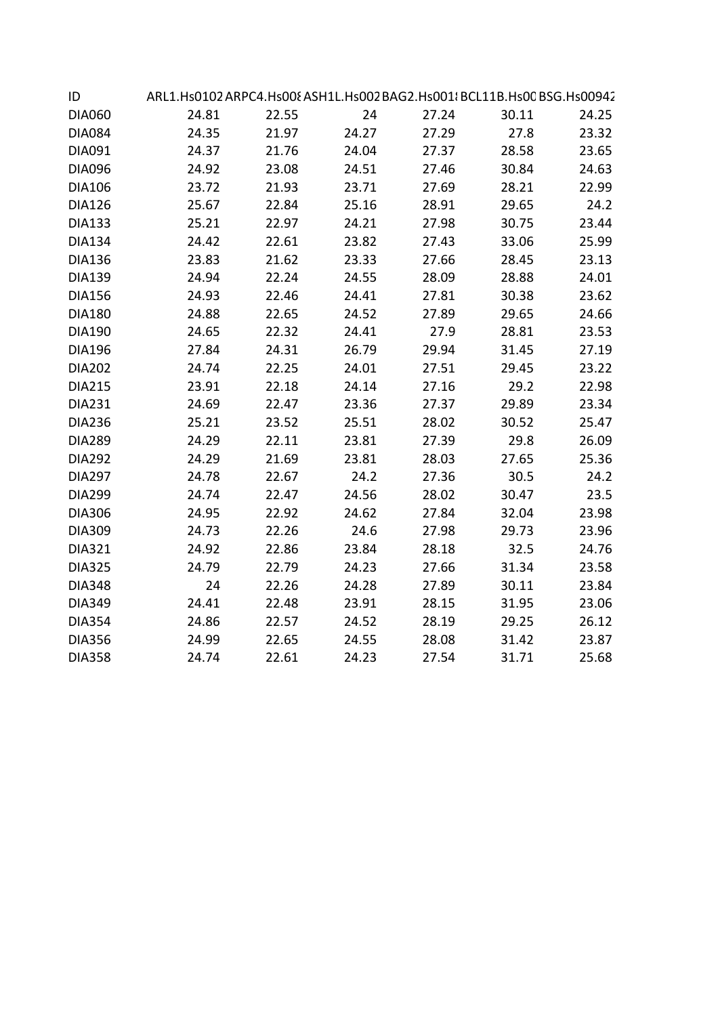| ID            | ARL1.Hs0102 ARPC4.Hs00{ASH1L.Hs002 BAG2.Hs001{BCL11B.Hs00 BSG.Hs00942 |       |       |       |       |       |  |
|---------------|-----------------------------------------------------------------------|-------|-------|-------|-------|-------|--|
| <b>DIA060</b> | 24.81                                                                 | 22.55 | 24    | 27.24 | 30.11 | 24.25 |  |
| <b>DIA084</b> | 24.35                                                                 | 21.97 | 24.27 | 27.29 | 27.8  | 23.32 |  |
| DIA091        | 24.37                                                                 | 21.76 | 24.04 | 27.37 | 28.58 | 23.65 |  |
| <b>DIA096</b> | 24.92                                                                 | 23.08 | 24.51 | 27.46 | 30.84 | 24.63 |  |
| <b>DIA106</b> | 23.72                                                                 | 21.93 | 23.71 | 27.69 | 28.21 | 22.99 |  |
| <b>DIA126</b> | 25.67                                                                 | 22.84 | 25.16 | 28.91 | 29.65 | 24.2  |  |
| <b>DIA133</b> | 25.21                                                                 | 22.97 | 24.21 | 27.98 | 30.75 | 23.44 |  |
| <b>DIA134</b> | 24.42                                                                 | 22.61 | 23.82 | 27.43 | 33.06 | 25.99 |  |
| <b>DIA136</b> | 23.83                                                                 | 21.62 | 23.33 | 27.66 | 28.45 | 23.13 |  |
| <b>DIA139</b> | 24.94                                                                 | 22.24 | 24.55 | 28.09 | 28.88 | 24.01 |  |
| <b>DIA156</b> | 24.93                                                                 | 22.46 | 24.41 | 27.81 | 30.38 | 23.62 |  |
| <b>DIA180</b> | 24.88                                                                 | 22.65 | 24.52 | 27.89 | 29.65 | 24.66 |  |
| <b>DIA190</b> | 24.65                                                                 | 22.32 | 24.41 | 27.9  | 28.81 | 23.53 |  |
| <b>DIA196</b> | 27.84                                                                 | 24.31 | 26.79 | 29.94 | 31.45 | 27.19 |  |
| <b>DIA202</b> | 24.74                                                                 | 22.25 | 24.01 | 27.51 | 29.45 | 23.22 |  |
| <b>DIA215</b> | 23.91                                                                 | 22.18 | 24.14 | 27.16 | 29.2  | 22.98 |  |
| <b>DIA231</b> | 24.69                                                                 | 22.47 | 23.36 | 27.37 | 29.89 | 23.34 |  |
| <b>DIA236</b> | 25.21                                                                 | 23.52 | 25.51 | 28.02 | 30.52 | 25.47 |  |
| <b>DIA289</b> | 24.29                                                                 | 22.11 | 23.81 | 27.39 | 29.8  | 26.09 |  |
| <b>DIA292</b> | 24.29                                                                 | 21.69 | 23.81 | 28.03 | 27.65 | 25.36 |  |
| <b>DIA297</b> | 24.78                                                                 | 22.67 | 24.2  | 27.36 | 30.5  | 24.2  |  |
| <b>DIA299</b> | 24.74                                                                 | 22.47 | 24.56 | 28.02 | 30.47 | 23.5  |  |
| <b>DIA306</b> | 24.95                                                                 | 22.92 | 24.62 | 27.84 | 32.04 | 23.98 |  |
| <b>DIA309</b> | 24.73                                                                 | 22.26 | 24.6  | 27.98 | 29.73 | 23.96 |  |
| <b>DIA321</b> | 24.92                                                                 | 22.86 | 23.84 | 28.18 | 32.5  | 24.76 |  |
| <b>DIA325</b> | 24.79                                                                 | 22.79 | 24.23 | 27.66 | 31.34 | 23.58 |  |
| <b>DIA348</b> | 24                                                                    | 22.26 | 24.28 | 27.89 | 30.11 | 23.84 |  |
| <b>DIA349</b> | 24.41                                                                 | 22.48 | 23.91 | 28.15 | 31.95 | 23.06 |  |
| <b>DIA354</b> | 24.86                                                                 | 22.57 | 24.52 | 28.19 | 29.25 | 26.12 |  |
| <b>DIA356</b> | 24.99                                                                 | 22.65 | 24.55 | 28.08 | 31.42 | 23.87 |  |
| <b>DIA358</b> | 24.74                                                                 | 22.61 | 24.23 | 27.54 | 31.71 | 25.68 |  |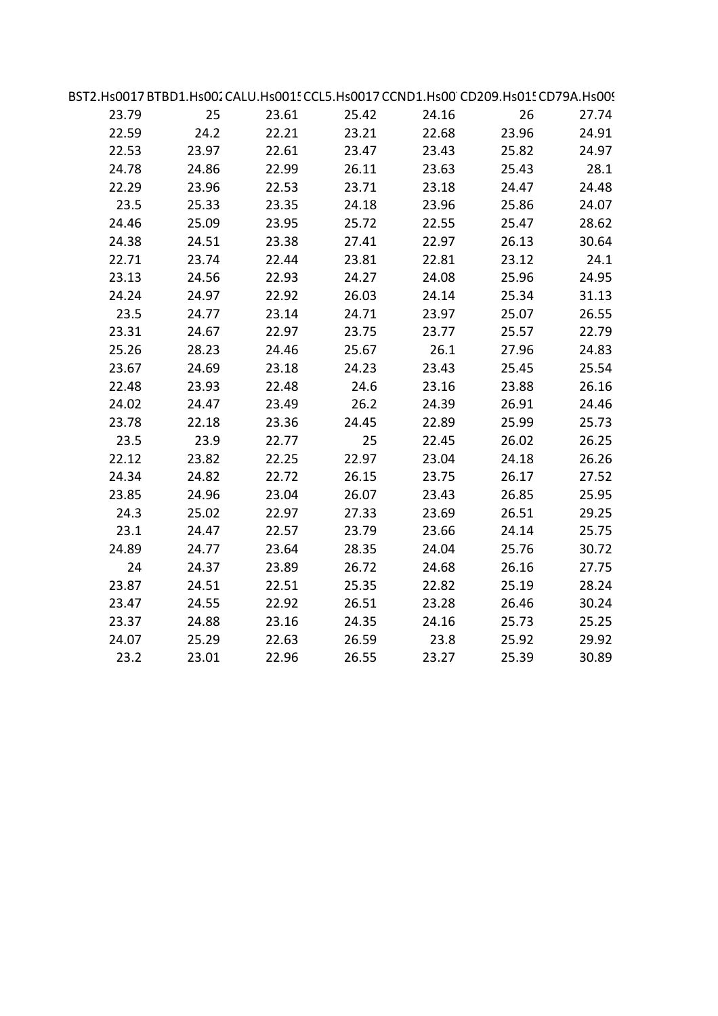| BST2.Hs0017BTBD1.Hs002CALU.Hs001! CCL5.Hs0017CCND1.Hs00 CD209.Hs01! CD79A.Hs00! |       |       |       |       |       |       |  |
|---------------------------------------------------------------------------------|-------|-------|-------|-------|-------|-------|--|
| 23.79                                                                           | 25    | 23.61 | 25.42 | 24.16 | 26    | 27.74 |  |
| 22.59                                                                           | 24.2  | 22.21 | 23.21 | 22.68 | 23.96 | 24.91 |  |
| 22.53                                                                           | 23.97 | 22.61 | 23.47 | 23.43 | 25.82 | 24.97 |  |
| 24.78                                                                           | 24.86 | 22.99 | 26.11 | 23.63 | 25.43 | 28.1  |  |
| 22.29                                                                           | 23.96 | 22.53 | 23.71 | 23.18 | 24.47 | 24.48 |  |
| 23.5                                                                            | 25.33 | 23.35 | 24.18 | 23.96 | 25.86 | 24.07 |  |
| 24.46                                                                           | 25.09 | 23.95 | 25.72 | 22.55 | 25.47 | 28.62 |  |
| 24.38                                                                           | 24.51 | 23.38 | 27.41 | 22.97 | 26.13 | 30.64 |  |
| 22.71                                                                           | 23.74 | 22.44 | 23.81 | 22.81 | 23.12 | 24.1  |  |
| 23.13                                                                           | 24.56 | 22.93 | 24.27 | 24.08 | 25.96 | 24.95 |  |
| 24.24                                                                           | 24.97 | 22.92 | 26.03 | 24.14 | 25.34 | 31.13 |  |
| 23.5                                                                            | 24.77 | 23.14 | 24.71 | 23.97 | 25.07 | 26.55 |  |
| 23.31                                                                           | 24.67 | 22.97 | 23.75 | 23.77 | 25.57 | 22.79 |  |
| 25.26                                                                           | 28.23 | 24.46 | 25.67 | 26.1  | 27.96 | 24.83 |  |
| 23.67                                                                           | 24.69 | 23.18 | 24.23 | 23.43 | 25.45 | 25.54 |  |
| 22.48                                                                           | 23.93 | 22.48 | 24.6  | 23.16 | 23.88 | 26.16 |  |
| 24.02                                                                           | 24.47 | 23.49 | 26.2  | 24.39 | 26.91 | 24.46 |  |
| 23.78                                                                           | 22.18 | 23.36 | 24.45 | 22.89 | 25.99 | 25.73 |  |
| 23.5                                                                            | 23.9  | 22.77 | 25    | 22.45 | 26.02 | 26.25 |  |
| 22.12                                                                           | 23.82 | 22.25 | 22.97 | 23.04 | 24.18 | 26.26 |  |
| 24.34                                                                           | 24.82 | 22.72 | 26.15 | 23.75 | 26.17 | 27.52 |  |
| 23.85                                                                           | 24.96 | 23.04 | 26.07 | 23.43 | 26.85 | 25.95 |  |
| 24.3                                                                            | 25.02 | 22.97 | 27.33 | 23.69 | 26.51 | 29.25 |  |
| 23.1                                                                            | 24.47 | 22.57 | 23.79 | 23.66 | 24.14 | 25.75 |  |
| 24.89                                                                           | 24.77 | 23.64 | 28.35 | 24.04 | 25.76 | 30.72 |  |
| 24                                                                              | 24.37 | 23.89 | 26.72 | 24.68 | 26.16 | 27.75 |  |
| 23.87                                                                           | 24.51 | 22.51 | 25.35 | 22.82 | 25.19 | 28.24 |  |
| 23.47                                                                           | 24.55 | 22.92 | 26.51 | 23.28 | 26.46 | 30.24 |  |
| 23.37                                                                           | 24.88 | 23.16 | 24.35 | 24.16 | 25.73 | 25.25 |  |
| 24.07                                                                           | 25.29 | 22.63 | 26.59 | 23.8  | 25.92 | 29.92 |  |
| 23.2                                                                            | 23.01 | 22.96 | 26.55 | 23.27 | 25.39 | 30.89 |  |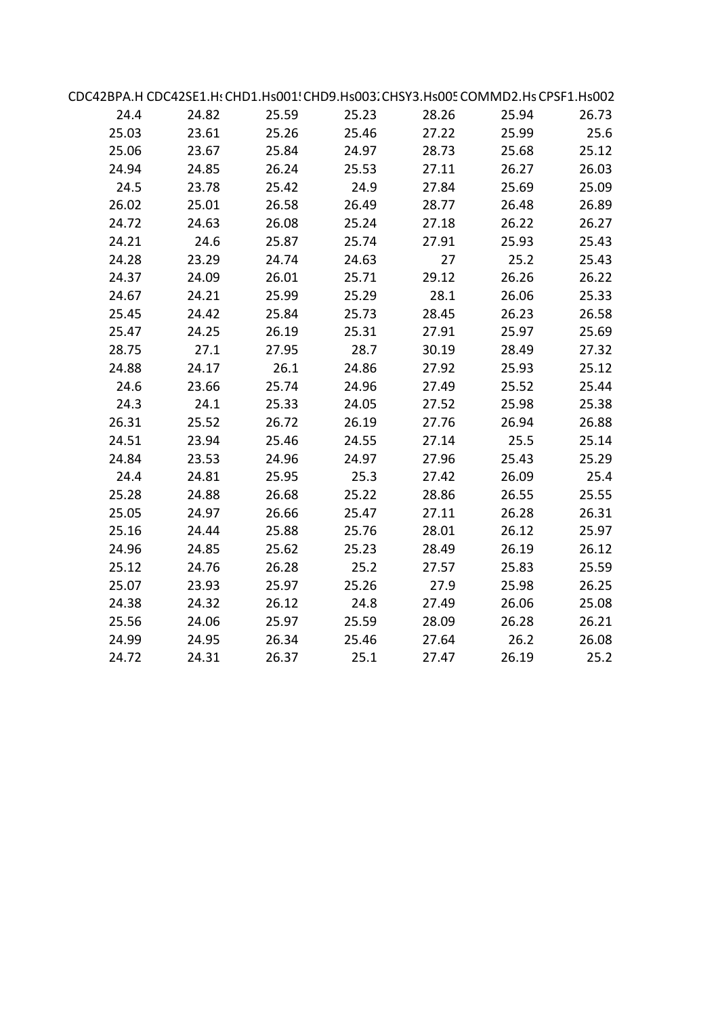|       | CDC42BPA.H CDC42SE1.H: CHD1.Hs001! CHD9.Hs003. CHSY3.Hs005 COMMD2.Hs CPSF1.Hs002 |       |       |       |       |       |  |
|-------|----------------------------------------------------------------------------------|-------|-------|-------|-------|-------|--|
| 24.4  | 24.82                                                                            | 25.59 | 25.23 | 28.26 | 25.94 | 26.73 |  |
| 25.03 | 23.61                                                                            | 25.26 | 25.46 | 27.22 | 25.99 | 25.6  |  |
| 25.06 | 23.67                                                                            | 25.84 | 24.97 | 28.73 | 25.68 | 25.12 |  |
| 24.94 | 24.85                                                                            | 26.24 | 25.53 | 27.11 | 26.27 | 26.03 |  |
| 24.5  | 23.78                                                                            | 25.42 | 24.9  | 27.84 | 25.69 | 25.09 |  |
| 26.02 | 25.01                                                                            | 26.58 | 26.49 | 28.77 | 26.48 | 26.89 |  |
| 24.72 | 24.63                                                                            | 26.08 | 25.24 | 27.18 | 26.22 | 26.27 |  |
| 24.21 | 24.6                                                                             | 25.87 | 25.74 | 27.91 | 25.93 | 25.43 |  |
| 24.28 | 23.29                                                                            | 24.74 | 24.63 | 27    | 25.2  | 25.43 |  |
| 24.37 | 24.09                                                                            | 26.01 | 25.71 | 29.12 | 26.26 | 26.22 |  |
| 24.67 | 24.21                                                                            | 25.99 | 25.29 | 28.1  | 26.06 | 25.33 |  |
| 25.45 | 24.42                                                                            | 25.84 | 25.73 | 28.45 | 26.23 | 26.58 |  |
| 25.47 | 24.25                                                                            | 26.19 | 25.31 | 27.91 | 25.97 | 25.69 |  |
| 28.75 | 27.1                                                                             | 27.95 | 28.7  | 30.19 | 28.49 | 27.32 |  |
| 24.88 | 24.17                                                                            | 26.1  | 24.86 | 27.92 | 25.93 | 25.12 |  |
| 24.6  | 23.66                                                                            | 25.74 | 24.96 | 27.49 | 25.52 | 25.44 |  |
| 24.3  | 24.1                                                                             | 25.33 | 24.05 | 27.52 | 25.98 | 25.38 |  |
| 26.31 | 25.52                                                                            | 26.72 | 26.19 | 27.76 | 26.94 | 26.88 |  |
| 24.51 | 23.94                                                                            | 25.46 | 24.55 | 27.14 | 25.5  | 25.14 |  |
| 24.84 | 23.53                                                                            | 24.96 | 24.97 | 27.96 | 25.43 | 25.29 |  |
| 24.4  | 24.81                                                                            | 25.95 | 25.3  | 27.42 | 26.09 | 25.4  |  |
| 25.28 | 24.88                                                                            | 26.68 | 25.22 | 28.86 | 26.55 | 25.55 |  |
| 25.05 | 24.97                                                                            | 26.66 | 25.47 | 27.11 | 26.28 | 26.31 |  |
| 25.16 | 24.44                                                                            | 25.88 | 25.76 | 28.01 | 26.12 | 25.97 |  |
| 24.96 | 24.85                                                                            | 25.62 | 25.23 | 28.49 | 26.19 | 26.12 |  |
| 25.12 | 24.76                                                                            | 26.28 | 25.2  | 27.57 | 25.83 | 25.59 |  |
| 25.07 | 23.93                                                                            | 25.97 | 25.26 | 27.9  | 25.98 | 26.25 |  |
| 24.38 | 24.32                                                                            | 26.12 | 24.8  | 27.49 | 26.06 | 25.08 |  |
| 25.56 | 24.06                                                                            | 25.97 | 25.59 | 28.09 | 26.28 | 26.21 |  |
| 24.99 | 24.95                                                                            | 26.34 | 25.46 | 27.64 | 26.2  | 26.08 |  |
| 24.72 | 24.31                                                                            | 26.37 | 25.1  | 27.47 | 26.19 | 25.2  |  |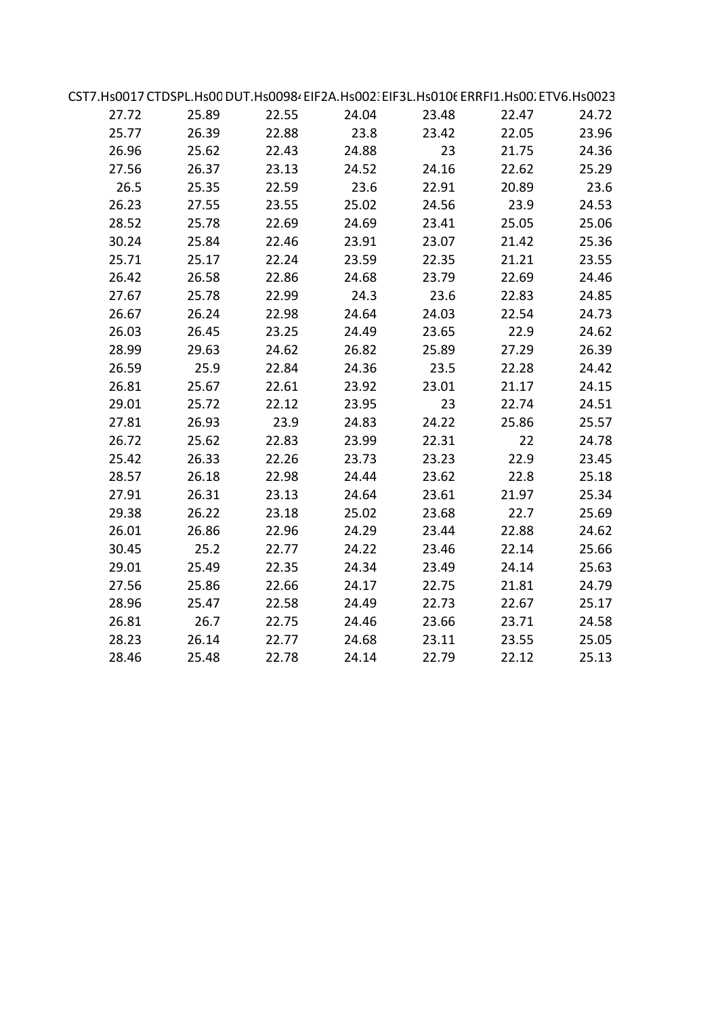| CST7.Hs0017 CTDSPL.Hs00 DUT.Hs00984 EIF2A.Hs002: EIF3L.Hs0106 ERRFI1.Hs00. ETV6.Hs0023 |       |       |       |       |       |       |  |
|----------------------------------------------------------------------------------------|-------|-------|-------|-------|-------|-------|--|
| 27.72                                                                                  | 25.89 | 22.55 | 24.04 | 23.48 | 22.47 | 24.72 |  |
| 25.77                                                                                  | 26.39 | 22.88 | 23.8  | 23.42 | 22.05 | 23.96 |  |
| 26.96                                                                                  | 25.62 | 22.43 | 24.88 | 23    | 21.75 | 24.36 |  |
| 27.56                                                                                  | 26.37 | 23.13 | 24.52 | 24.16 | 22.62 | 25.29 |  |
| 26.5                                                                                   | 25.35 | 22.59 | 23.6  | 22.91 | 20.89 | 23.6  |  |
| 26.23                                                                                  | 27.55 | 23.55 | 25.02 | 24.56 | 23.9  | 24.53 |  |
| 28.52                                                                                  | 25.78 | 22.69 | 24.69 | 23.41 | 25.05 | 25.06 |  |
| 30.24                                                                                  | 25.84 | 22.46 | 23.91 | 23.07 | 21.42 | 25.36 |  |
| 25.71                                                                                  | 25.17 | 22.24 | 23.59 | 22.35 | 21.21 | 23.55 |  |
| 26.42                                                                                  | 26.58 | 22.86 | 24.68 | 23.79 | 22.69 | 24.46 |  |
| 27.67                                                                                  | 25.78 | 22.99 | 24.3  | 23.6  | 22.83 | 24.85 |  |
| 26.67                                                                                  | 26.24 | 22.98 | 24.64 | 24.03 | 22.54 | 24.73 |  |
| 26.03                                                                                  | 26.45 | 23.25 | 24.49 | 23.65 | 22.9  | 24.62 |  |
| 28.99                                                                                  | 29.63 | 24.62 | 26.82 | 25.89 | 27.29 | 26.39 |  |
| 26.59                                                                                  | 25.9  | 22.84 | 24.36 | 23.5  | 22.28 | 24.42 |  |
| 26.81                                                                                  | 25.67 | 22.61 | 23.92 | 23.01 | 21.17 | 24.15 |  |
| 29.01                                                                                  | 25.72 | 22.12 | 23.95 | 23    | 22.74 | 24.51 |  |
| 27.81                                                                                  | 26.93 | 23.9  | 24.83 | 24.22 | 25.86 | 25.57 |  |
| 26.72                                                                                  | 25.62 | 22.83 | 23.99 | 22.31 | 22    | 24.78 |  |
| 25.42                                                                                  | 26.33 | 22.26 | 23.73 | 23.23 | 22.9  | 23.45 |  |
| 28.57                                                                                  | 26.18 | 22.98 | 24.44 | 23.62 | 22.8  | 25.18 |  |
| 27.91                                                                                  | 26.31 | 23.13 | 24.64 | 23.61 | 21.97 | 25.34 |  |
| 29.38                                                                                  | 26.22 | 23.18 | 25.02 | 23.68 | 22.7  | 25.69 |  |
| 26.01                                                                                  | 26.86 | 22.96 | 24.29 | 23.44 | 22.88 | 24.62 |  |
| 30.45                                                                                  | 25.2  | 22.77 | 24.22 | 23.46 | 22.14 | 25.66 |  |
| 29.01                                                                                  | 25.49 | 22.35 | 24.34 | 23.49 | 24.14 | 25.63 |  |
| 27.56                                                                                  | 25.86 | 22.66 | 24.17 | 22.75 | 21.81 | 24.79 |  |
| 28.96                                                                                  | 25.47 | 22.58 | 24.49 | 22.73 | 22.67 | 25.17 |  |
| 26.81                                                                                  | 26.7  | 22.75 | 24.46 | 23.66 | 23.71 | 24.58 |  |
| 28.23                                                                                  | 26.14 | 22.77 | 24.68 | 23.11 | 23.55 | 25.05 |  |
| 28.46                                                                                  | 25.48 | 22.78 | 24.14 | 22.79 | 22.12 | 25.13 |  |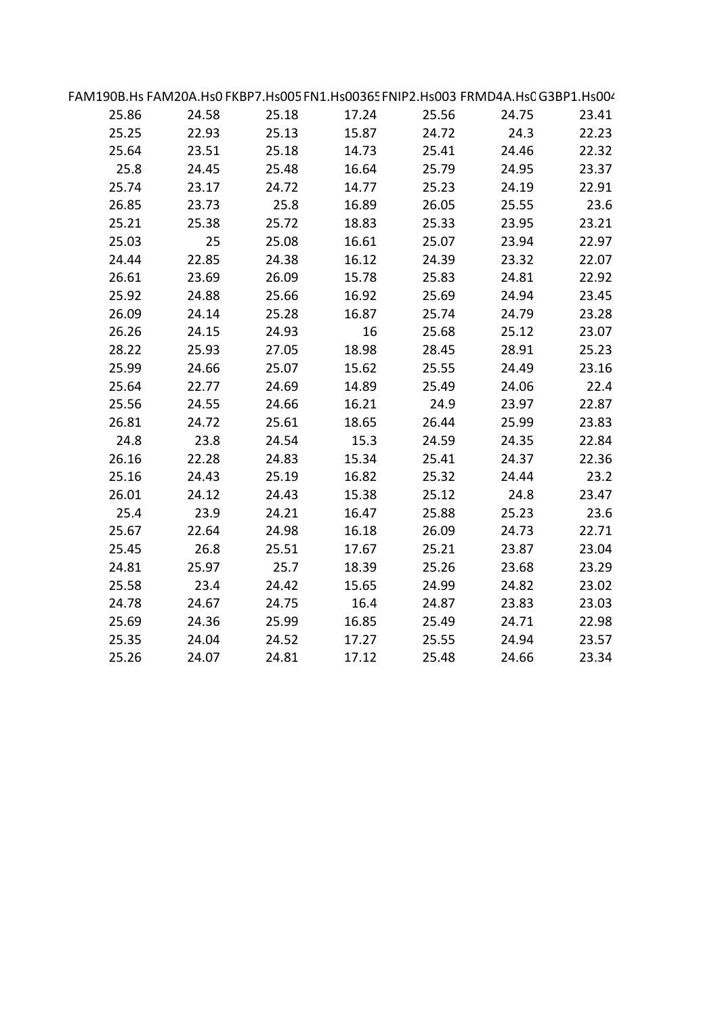| FAM190B.Hs FAM20A.Hs0 FKBP7.Hs005 FN1.Hs00365 FNIP2.Hs003 FRMD4A.Hs0 G3BP1.Hs004 |       |       |       |       |       |       |  |
|----------------------------------------------------------------------------------|-------|-------|-------|-------|-------|-------|--|
| 25.86                                                                            | 24.58 | 25.18 | 17.24 | 25.56 | 24.75 | 23.41 |  |
| 25.25                                                                            | 22.93 | 25.13 | 15.87 | 24.72 | 24.3  | 22.23 |  |
| 25.64                                                                            | 23.51 | 25.18 | 14.73 | 25.41 | 24.46 | 22.32 |  |
| 25.8                                                                             | 24.45 | 25.48 | 16.64 | 25.79 | 24.95 | 23.37 |  |
| 25.74                                                                            | 23.17 | 24.72 | 14.77 | 25.23 | 24.19 | 22.91 |  |
| 26.85                                                                            | 23.73 | 25.8  | 16.89 | 26.05 | 25.55 | 23.6  |  |
| 25.21                                                                            | 25.38 | 25.72 | 18.83 | 25.33 | 23.95 | 23.21 |  |
| 25.03                                                                            | 25    | 25.08 | 16.61 | 25.07 | 23.94 | 22.97 |  |
| 24.44                                                                            | 22.85 | 24.38 | 16.12 | 24.39 | 23.32 | 22.07 |  |
| 26.61                                                                            | 23.69 | 26.09 | 15.78 | 25.83 | 24.81 | 22.92 |  |
| 25.92                                                                            | 24.88 | 25.66 | 16.92 | 25.69 | 24.94 | 23.45 |  |
| 26.09                                                                            | 24.14 | 25.28 | 16.87 | 25.74 | 24.79 | 23.28 |  |
| 26.26                                                                            | 24.15 | 24.93 | 16    | 25.68 | 25.12 | 23.07 |  |
| 28.22                                                                            | 25.93 | 27.05 | 18.98 | 28.45 | 28.91 | 25.23 |  |
| 25.99                                                                            | 24.66 | 25.07 | 15.62 | 25.55 | 24.49 | 23.16 |  |
| 25.64                                                                            | 22.77 | 24.69 | 14.89 | 25.49 | 24.06 | 22.4  |  |
| 25.56                                                                            | 24.55 | 24.66 | 16.21 | 24.9  | 23.97 | 22.87 |  |
| 26.81                                                                            | 24.72 | 25.61 | 18.65 | 26.44 | 25.99 | 23.83 |  |
| 24.8                                                                             | 23.8  | 24.54 | 15.3  | 24.59 | 24.35 | 22.84 |  |
| 26.16                                                                            | 22.28 | 24.83 | 15.34 | 25.41 | 24.37 | 22.36 |  |
| 25.16                                                                            | 24.43 | 25.19 | 16.82 | 25.32 | 24.44 | 23.2  |  |
| 26.01                                                                            | 24.12 | 24.43 | 15.38 | 25.12 | 24.8  | 23.47 |  |
| 25.4                                                                             | 23.9  | 24.21 | 16.47 | 25.88 | 25.23 | 23.6  |  |
| 25.67                                                                            | 22.64 | 24.98 | 16.18 | 26.09 | 24.73 | 22.71 |  |
| 25.45                                                                            | 26.8  | 25.51 | 17.67 | 25.21 | 23.87 | 23.04 |  |
| 24.81                                                                            | 25.97 | 25.7  | 18.39 | 25.26 | 23.68 | 23.29 |  |
| 25.58                                                                            | 23.4  | 24.42 | 15.65 | 24.99 | 24.82 | 23.02 |  |
| 24.78                                                                            | 24.67 | 24.75 | 16.4  | 24.87 | 23.83 | 23.03 |  |
| 25.69                                                                            | 24.36 | 25.99 | 16.85 | 25.49 | 24.71 | 22.98 |  |
| 25.35                                                                            | 24.04 | 24.52 | 17.27 | 25.55 | 24.94 | 23.57 |  |
| 25.26                                                                            | 24.07 | 24.81 | 17.12 | 25.48 | 24.66 | 23.34 |  |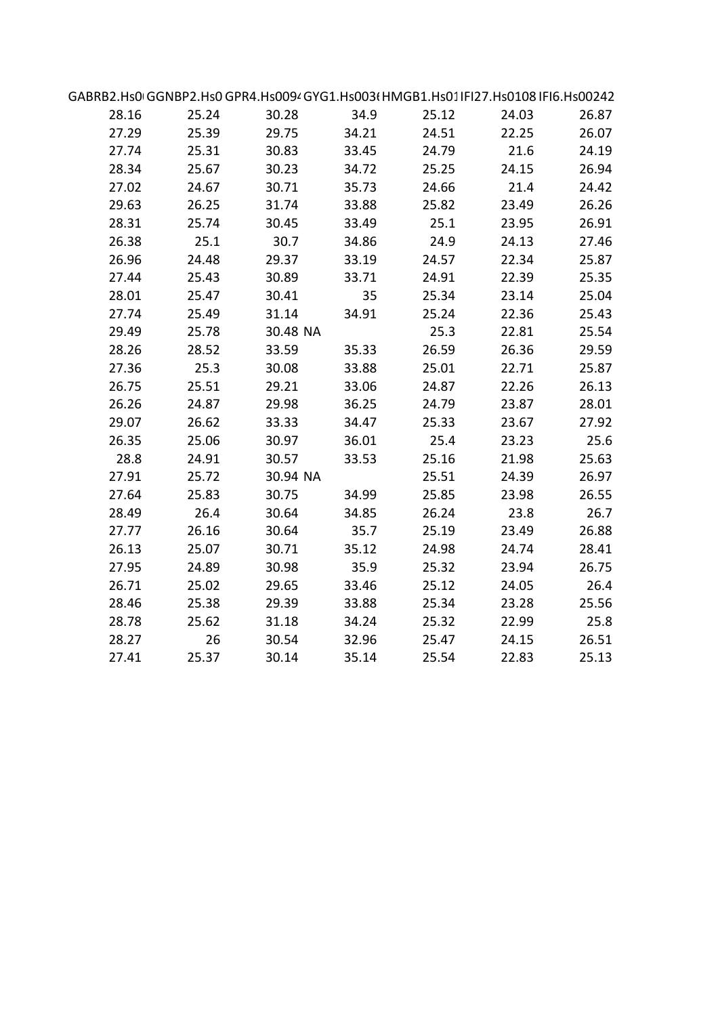| GABRB2.Hs0IGGNBP2.Hs0GPR4.Hs0094GYG1.Hs003(HMGB1.Hs01IFI27.Hs0108IFI6.Hs00242 |       |          |       |       |       |       |  |
|-------------------------------------------------------------------------------|-------|----------|-------|-------|-------|-------|--|
| 28.16                                                                         | 25.24 | 30.28    | 34.9  | 25.12 | 24.03 | 26.87 |  |
| 27.29                                                                         | 25.39 | 29.75    | 34.21 | 24.51 | 22.25 | 26.07 |  |
| 27.74                                                                         | 25.31 | 30.83    | 33.45 | 24.79 | 21.6  | 24.19 |  |
| 28.34                                                                         | 25.67 | 30.23    | 34.72 | 25.25 | 24.15 | 26.94 |  |
| 27.02                                                                         | 24.67 | 30.71    | 35.73 | 24.66 | 21.4  | 24.42 |  |
| 29.63                                                                         | 26.25 | 31.74    | 33.88 | 25.82 | 23.49 | 26.26 |  |
| 28.31                                                                         | 25.74 | 30.45    | 33.49 | 25.1  | 23.95 | 26.91 |  |
| 26.38                                                                         | 25.1  | 30.7     | 34.86 | 24.9  | 24.13 | 27.46 |  |
| 26.96                                                                         | 24.48 | 29.37    | 33.19 | 24.57 | 22.34 | 25.87 |  |
| 27.44                                                                         | 25.43 | 30.89    | 33.71 | 24.91 | 22.39 | 25.35 |  |
| 28.01                                                                         | 25.47 | 30.41    | 35    | 25.34 | 23.14 | 25.04 |  |
| 27.74                                                                         | 25.49 | 31.14    | 34.91 | 25.24 | 22.36 | 25.43 |  |
| 29.49                                                                         | 25.78 | 30.48 NA |       | 25.3  | 22.81 | 25.54 |  |
| 28.26                                                                         | 28.52 | 33.59    | 35.33 | 26.59 | 26.36 | 29.59 |  |
| 27.36                                                                         | 25.3  | 30.08    | 33.88 | 25.01 | 22.71 | 25.87 |  |
| 26.75                                                                         | 25.51 | 29.21    | 33.06 | 24.87 | 22.26 | 26.13 |  |
| 26.26                                                                         | 24.87 | 29.98    | 36.25 | 24.79 | 23.87 | 28.01 |  |
| 29.07                                                                         | 26.62 | 33.33    | 34.47 | 25.33 | 23.67 | 27.92 |  |
| 26.35                                                                         | 25.06 | 30.97    | 36.01 | 25.4  | 23.23 | 25.6  |  |
| 28.8                                                                          | 24.91 | 30.57    | 33.53 | 25.16 | 21.98 | 25.63 |  |
| 27.91                                                                         | 25.72 | 30.94 NA |       | 25.51 | 24.39 | 26.97 |  |
| 27.64                                                                         | 25.83 | 30.75    | 34.99 | 25.85 | 23.98 | 26.55 |  |
| 28.49                                                                         | 26.4  | 30.64    | 34.85 | 26.24 | 23.8  | 26.7  |  |
| 27.77                                                                         | 26.16 | 30.64    | 35.7  | 25.19 | 23.49 | 26.88 |  |
| 26.13                                                                         | 25.07 | 30.71    | 35.12 | 24.98 | 24.74 | 28.41 |  |
| 27.95                                                                         | 24.89 | 30.98    | 35.9  | 25.32 | 23.94 | 26.75 |  |
| 26.71                                                                         | 25.02 | 29.65    | 33.46 | 25.12 | 24.05 | 26.4  |  |
| 28.46                                                                         | 25.38 | 29.39    | 33.88 | 25.34 | 23.28 | 25.56 |  |
| 28.78                                                                         | 25.62 | 31.18    | 34.24 | 25.32 | 22.99 | 25.8  |  |
| 28.27                                                                         | 26    | 30.54    | 32.96 | 25.47 | 24.15 | 26.51 |  |
| 27.41                                                                         | 25.37 | 30.14    | 35.14 | 25.54 | 22.83 | 25.13 |  |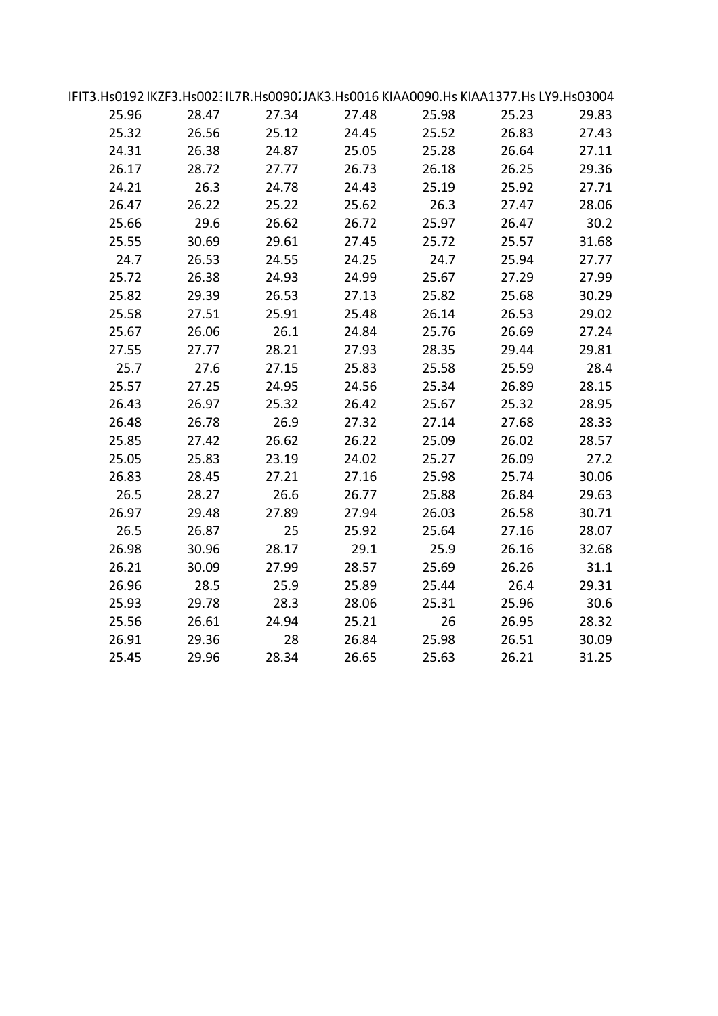| IFIT3.Hs0192 IKZF3.Hs002: IL7R.Hs0090. JAK3.Hs0016 KIAA0090.Hs KIAA1377.Hs LY9.Hs03004 |       |       |       |       |       |       |  |
|----------------------------------------------------------------------------------------|-------|-------|-------|-------|-------|-------|--|
| 25.96                                                                                  | 28.47 | 27.34 | 27.48 | 25.98 | 25.23 | 29.83 |  |
| 25.32                                                                                  | 26.56 | 25.12 | 24.45 | 25.52 | 26.83 | 27.43 |  |
| 24.31                                                                                  | 26.38 | 24.87 | 25.05 | 25.28 | 26.64 | 27.11 |  |
| 26.17                                                                                  | 28.72 | 27.77 | 26.73 | 26.18 | 26.25 | 29.36 |  |
| 24.21                                                                                  | 26.3  | 24.78 | 24.43 | 25.19 | 25.92 | 27.71 |  |
| 26.47                                                                                  | 26.22 | 25.22 | 25.62 | 26.3  | 27.47 | 28.06 |  |
| 25.66                                                                                  | 29.6  | 26.62 | 26.72 | 25.97 | 26.47 | 30.2  |  |
| 25.55                                                                                  | 30.69 | 29.61 | 27.45 | 25.72 | 25.57 | 31.68 |  |
| 24.7                                                                                   | 26.53 | 24.55 | 24.25 | 24.7  | 25.94 | 27.77 |  |
| 25.72                                                                                  | 26.38 | 24.93 | 24.99 | 25.67 | 27.29 | 27.99 |  |
| 25.82                                                                                  | 29.39 | 26.53 | 27.13 | 25.82 | 25.68 | 30.29 |  |
| 25.58                                                                                  | 27.51 | 25.91 | 25.48 | 26.14 | 26.53 | 29.02 |  |
| 25.67                                                                                  | 26.06 | 26.1  | 24.84 | 25.76 | 26.69 | 27.24 |  |
| 27.55                                                                                  | 27.77 | 28.21 | 27.93 | 28.35 | 29.44 | 29.81 |  |
| 25.7                                                                                   | 27.6  | 27.15 | 25.83 | 25.58 | 25.59 | 28.4  |  |
| 25.57                                                                                  | 27.25 | 24.95 | 24.56 | 25.34 | 26.89 | 28.15 |  |
| 26.43                                                                                  | 26.97 | 25.32 | 26.42 | 25.67 | 25.32 | 28.95 |  |
| 26.48                                                                                  | 26.78 | 26.9  | 27.32 | 27.14 | 27.68 | 28.33 |  |
| 25.85                                                                                  | 27.42 | 26.62 | 26.22 | 25.09 | 26.02 | 28.57 |  |
| 25.05                                                                                  | 25.83 | 23.19 | 24.02 | 25.27 | 26.09 | 27.2  |  |
| 26.83                                                                                  | 28.45 | 27.21 | 27.16 | 25.98 | 25.74 | 30.06 |  |
| 26.5                                                                                   | 28.27 | 26.6  | 26.77 | 25.88 | 26.84 | 29.63 |  |
| 26.97                                                                                  | 29.48 | 27.89 | 27.94 | 26.03 | 26.58 | 30.71 |  |
| 26.5                                                                                   | 26.87 | 25    | 25.92 | 25.64 | 27.16 | 28.07 |  |
| 26.98                                                                                  | 30.96 | 28.17 | 29.1  | 25.9  | 26.16 | 32.68 |  |
| 26.21                                                                                  | 30.09 | 27.99 | 28.57 | 25.69 | 26.26 | 31.1  |  |
| 26.96                                                                                  | 28.5  | 25.9  | 25.89 | 25.44 | 26.4  | 29.31 |  |
| 25.93                                                                                  | 29.78 | 28.3  | 28.06 | 25.31 | 25.96 | 30.6  |  |
| 25.56                                                                                  | 26.61 | 24.94 | 25.21 | 26    | 26.95 | 28.32 |  |
| 26.91                                                                                  | 29.36 | 28    | 26.84 | 25.98 | 26.51 | 30.09 |  |
| 25.45                                                                                  | 29.96 | 28.34 | 26.65 | 25.63 | 26.21 | 31.25 |  |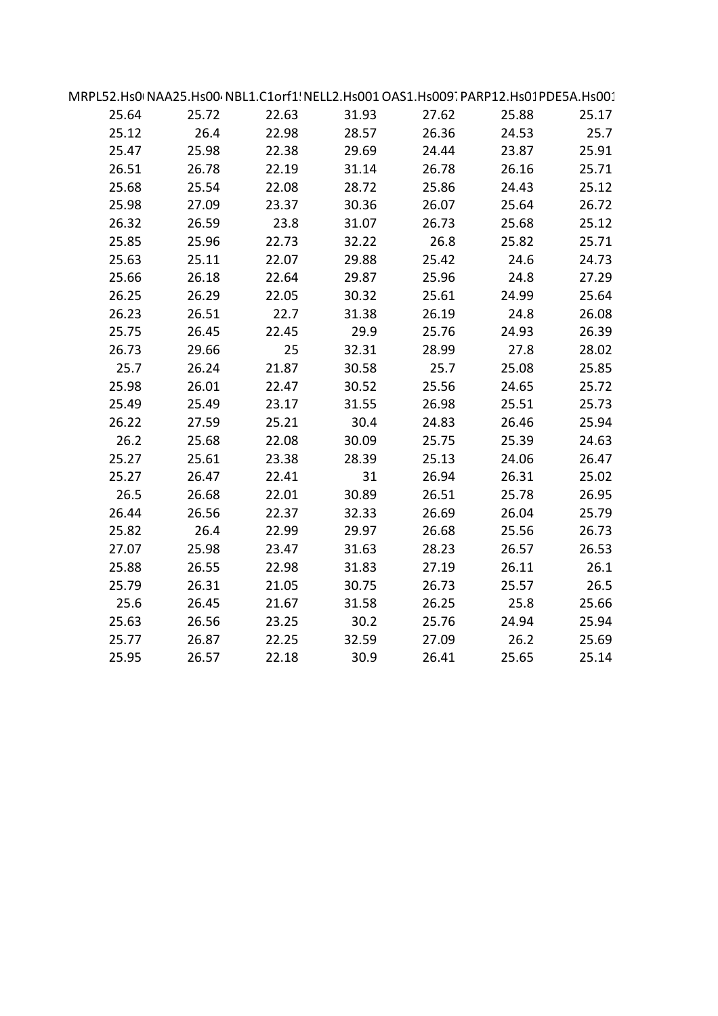| MRPL52.Hs0+NAA25.Hs00+NBL1.C1orf1! NELL2.Hs001 OAS1.Hs009. PARP12.Hs01 PDE5A.Hs001 |       |       |       |       |       |       |  |
|------------------------------------------------------------------------------------|-------|-------|-------|-------|-------|-------|--|
| 25.64                                                                              | 25.72 | 22.63 | 31.93 | 27.62 | 25.88 | 25.17 |  |
| 25.12                                                                              | 26.4  | 22.98 | 28.57 | 26.36 | 24.53 | 25.7  |  |
| 25.47                                                                              | 25.98 | 22.38 | 29.69 | 24.44 | 23.87 | 25.91 |  |
| 26.51                                                                              | 26.78 | 22.19 | 31.14 | 26.78 | 26.16 | 25.71 |  |
| 25.68                                                                              | 25.54 | 22.08 | 28.72 | 25.86 | 24.43 | 25.12 |  |
| 25.98                                                                              | 27.09 | 23.37 | 30.36 | 26.07 | 25.64 | 26.72 |  |
| 26.32                                                                              | 26.59 | 23.8  | 31.07 | 26.73 | 25.68 | 25.12 |  |
| 25.85                                                                              | 25.96 | 22.73 | 32.22 | 26.8  | 25.82 | 25.71 |  |
| 25.63                                                                              | 25.11 | 22.07 | 29.88 | 25.42 | 24.6  | 24.73 |  |
| 25.66                                                                              | 26.18 | 22.64 | 29.87 | 25.96 | 24.8  | 27.29 |  |
| 26.25                                                                              | 26.29 | 22.05 | 30.32 | 25.61 | 24.99 | 25.64 |  |
| 26.23                                                                              | 26.51 | 22.7  | 31.38 | 26.19 | 24.8  | 26.08 |  |
| 25.75                                                                              | 26.45 | 22.45 | 29.9  | 25.76 | 24.93 | 26.39 |  |
| 26.73                                                                              | 29.66 | 25    | 32.31 | 28.99 | 27.8  | 28.02 |  |
| 25.7                                                                               | 26.24 | 21.87 | 30.58 | 25.7  | 25.08 | 25.85 |  |
| 25.98                                                                              | 26.01 | 22.47 | 30.52 | 25.56 | 24.65 | 25.72 |  |
| 25.49                                                                              | 25.49 | 23.17 | 31.55 | 26.98 | 25.51 | 25.73 |  |
| 26.22                                                                              | 27.59 | 25.21 | 30.4  | 24.83 | 26.46 | 25.94 |  |
| 26.2                                                                               | 25.68 | 22.08 | 30.09 | 25.75 | 25.39 | 24.63 |  |
| 25.27                                                                              | 25.61 | 23.38 | 28.39 | 25.13 | 24.06 | 26.47 |  |
| 25.27                                                                              | 26.47 | 22.41 | 31    | 26.94 | 26.31 | 25.02 |  |
| 26.5                                                                               | 26.68 | 22.01 | 30.89 | 26.51 | 25.78 | 26.95 |  |
| 26.44                                                                              | 26.56 | 22.37 | 32.33 | 26.69 | 26.04 | 25.79 |  |
| 25.82                                                                              | 26.4  | 22.99 | 29.97 | 26.68 | 25.56 | 26.73 |  |
| 27.07                                                                              | 25.98 | 23.47 | 31.63 | 28.23 | 26.57 | 26.53 |  |
| 25.88                                                                              | 26.55 | 22.98 | 31.83 | 27.19 | 26.11 | 26.1  |  |
| 25.79                                                                              | 26.31 | 21.05 | 30.75 | 26.73 | 25.57 | 26.5  |  |
| 25.6                                                                               | 26.45 | 21.67 | 31.58 | 26.25 | 25.8  | 25.66 |  |
| 25.63                                                                              | 26.56 | 23.25 | 30.2  | 25.76 | 24.94 | 25.94 |  |
| 25.77                                                                              | 26.87 | 22.25 | 32.59 | 27.09 | 26.2  | 25.69 |  |
| 25.95                                                                              | 26.57 | 22.18 | 30.9  | 26.41 | 25.65 | 25.14 |  |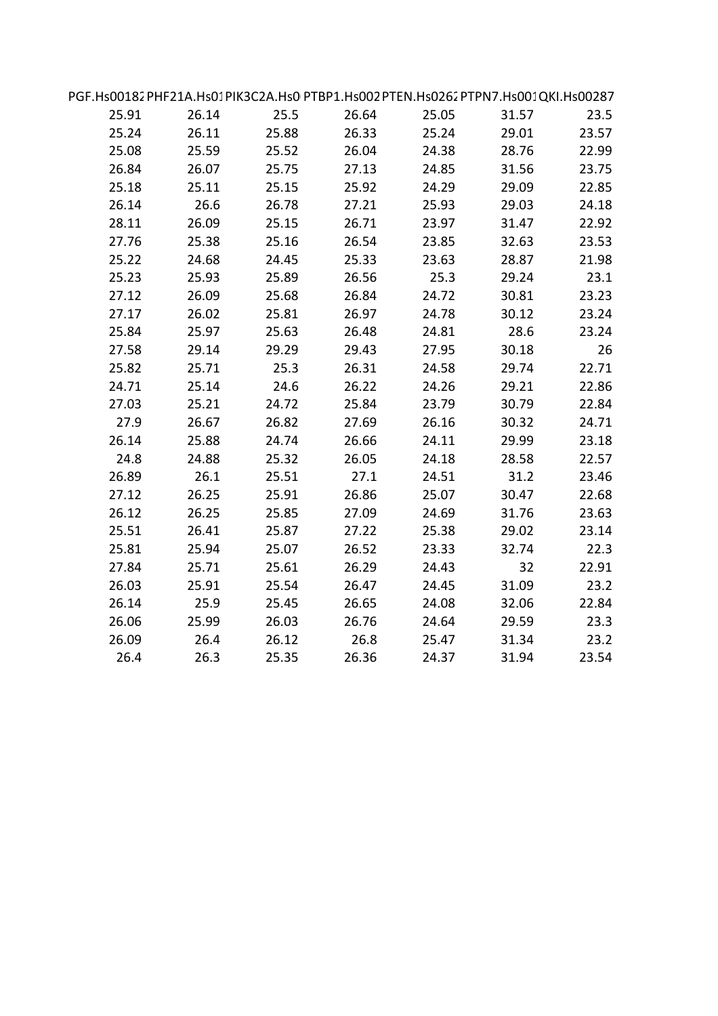| PGF.Hs00182PHF21A.Hs01PIK3C2A.Hs0PTBP1.Hs002PTEN.Hs0262PTPN7.Hs001QKI.Hs00287 |       |       |       |       |       |       |  |
|-------------------------------------------------------------------------------|-------|-------|-------|-------|-------|-------|--|
| 25.91                                                                         | 26.14 | 25.5  | 26.64 | 25.05 | 31.57 | 23.5  |  |
| 25.24                                                                         | 26.11 | 25.88 | 26.33 | 25.24 | 29.01 | 23.57 |  |
| 25.08                                                                         | 25.59 | 25.52 | 26.04 | 24.38 | 28.76 | 22.99 |  |
| 26.84                                                                         | 26.07 | 25.75 | 27.13 | 24.85 | 31.56 | 23.75 |  |
| 25.18                                                                         | 25.11 | 25.15 | 25.92 | 24.29 | 29.09 | 22.85 |  |
| 26.14                                                                         | 26.6  | 26.78 | 27.21 | 25.93 | 29.03 | 24.18 |  |
| 28.11                                                                         | 26.09 | 25.15 | 26.71 | 23.97 | 31.47 | 22.92 |  |
| 27.76                                                                         | 25.38 | 25.16 | 26.54 | 23.85 | 32.63 | 23.53 |  |
| 25.22                                                                         | 24.68 | 24.45 | 25.33 | 23.63 | 28.87 | 21.98 |  |
| 25.23                                                                         | 25.93 | 25.89 | 26.56 | 25.3  | 29.24 | 23.1  |  |
| 27.12                                                                         | 26.09 | 25.68 | 26.84 | 24.72 | 30.81 | 23.23 |  |
| 27.17                                                                         | 26.02 | 25.81 | 26.97 | 24.78 | 30.12 | 23.24 |  |
| 25.84                                                                         | 25.97 | 25.63 | 26.48 | 24.81 | 28.6  | 23.24 |  |
| 27.58                                                                         | 29.14 | 29.29 | 29.43 | 27.95 | 30.18 | 26    |  |
| 25.82                                                                         | 25.71 | 25.3  | 26.31 | 24.58 | 29.74 | 22.71 |  |
| 24.71                                                                         | 25.14 | 24.6  | 26.22 | 24.26 | 29.21 | 22.86 |  |
| 27.03                                                                         | 25.21 | 24.72 | 25.84 | 23.79 | 30.79 | 22.84 |  |
| 27.9                                                                          | 26.67 | 26.82 | 27.69 | 26.16 | 30.32 | 24.71 |  |
| 26.14                                                                         | 25.88 | 24.74 | 26.66 | 24.11 | 29.99 | 23.18 |  |
| 24.8                                                                          | 24.88 | 25.32 | 26.05 | 24.18 | 28.58 | 22.57 |  |
| 26.89                                                                         | 26.1  | 25.51 | 27.1  | 24.51 | 31.2  | 23.46 |  |
| 27.12                                                                         | 26.25 | 25.91 | 26.86 | 25.07 | 30.47 | 22.68 |  |
| 26.12                                                                         | 26.25 | 25.85 | 27.09 | 24.69 | 31.76 | 23.63 |  |
| 25.51                                                                         | 26.41 | 25.87 | 27.22 | 25.38 | 29.02 | 23.14 |  |
| 25.81                                                                         | 25.94 | 25.07 | 26.52 | 23.33 | 32.74 | 22.3  |  |
| 27.84                                                                         | 25.71 | 25.61 | 26.29 | 24.43 | 32    | 22.91 |  |
| 26.03                                                                         | 25.91 | 25.54 | 26.47 | 24.45 | 31.09 | 23.2  |  |
| 26.14                                                                         | 25.9  | 25.45 | 26.65 | 24.08 | 32.06 | 22.84 |  |
| 26.06                                                                         | 25.99 | 26.03 | 26.76 | 24.64 | 29.59 | 23.3  |  |
| 26.09                                                                         | 26.4  | 26.12 | 26.8  | 25.47 | 31.34 | 23.2  |  |
| 26.4                                                                          | 26.3  | 25.35 | 26.36 | 24.37 | 31.94 | 23.54 |  |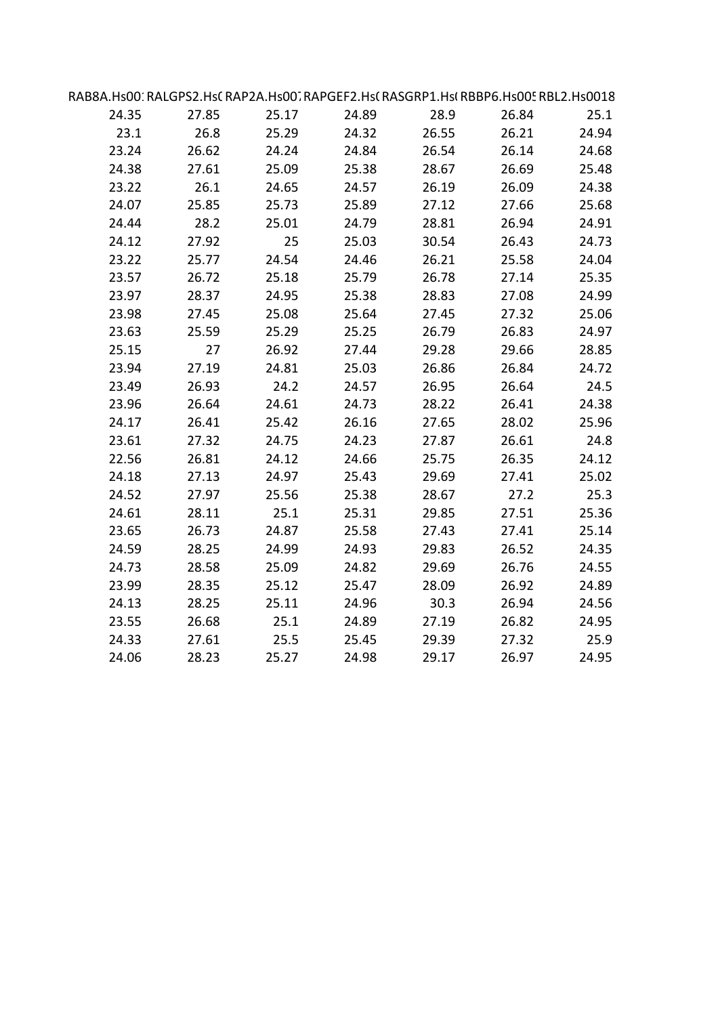| RAB8A.Hs00′ RALGPS2.Hs( RAP2A.Hs00'. RAPGEF2.Hs( RASGRP1.Hs( RBBP6.Hs00! RBL2.Hs0018 |       |       |       |       |       |       |  |
|--------------------------------------------------------------------------------------|-------|-------|-------|-------|-------|-------|--|
| 24.35                                                                                | 27.85 | 25.17 | 24.89 | 28.9  | 26.84 | 25.1  |  |
| 23.1                                                                                 | 26.8  | 25.29 | 24.32 | 26.55 | 26.21 | 24.94 |  |
| 23.24                                                                                | 26.62 | 24.24 | 24.84 | 26.54 | 26.14 | 24.68 |  |
| 24.38                                                                                | 27.61 | 25.09 | 25.38 | 28.67 | 26.69 | 25.48 |  |
| 23.22                                                                                | 26.1  | 24.65 | 24.57 | 26.19 | 26.09 | 24.38 |  |
| 24.07                                                                                | 25.85 | 25.73 | 25.89 | 27.12 | 27.66 | 25.68 |  |
| 24.44                                                                                | 28.2  | 25.01 | 24.79 | 28.81 | 26.94 | 24.91 |  |
| 24.12                                                                                | 27.92 | 25    | 25.03 | 30.54 | 26.43 | 24.73 |  |
| 23.22                                                                                | 25.77 | 24.54 | 24.46 | 26.21 | 25.58 | 24.04 |  |
| 23.57                                                                                | 26.72 | 25.18 | 25.79 | 26.78 | 27.14 | 25.35 |  |
| 23.97                                                                                | 28.37 | 24.95 | 25.38 | 28.83 | 27.08 | 24.99 |  |
| 23.98                                                                                | 27.45 | 25.08 | 25.64 | 27.45 | 27.32 | 25.06 |  |
| 23.63                                                                                | 25.59 | 25.29 | 25.25 | 26.79 | 26.83 | 24.97 |  |
| 25.15                                                                                | 27    | 26.92 | 27.44 | 29.28 | 29.66 | 28.85 |  |
| 23.94                                                                                | 27.19 | 24.81 | 25.03 | 26.86 | 26.84 | 24.72 |  |
| 23.49                                                                                | 26.93 | 24.2  | 24.57 | 26.95 | 26.64 | 24.5  |  |
| 23.96                                                                                | 26.64 | 24.61 | 24.73 | 28.22 | 26.41 | 24.38 |  |
| 24.17                                                                                | 26.41 | 25.42 | 26.16 | 27.65 | 28.02 | 25.96 |  |
| 23.61                                                                                | 27.32 | 24.75 | 24.23 | 27.87 | 26.61 | 24.8  |  |
| 22.56                                                                                | 26.81 | 24.12 | 24.66 | 25.75 | 26.35 | 24.12 |  |
| 24.18                                                                                | 27.13 | 24.97 | 25.43 | 29.69 | 27.41 | 25.02 |  |
| 24.52                                                                                | 27.97 | 25.56 | 25.38 | 28.67 | 27.2  | 25.3  |  |
| 24.61                                                                                | 28.11 | 25.1  | 25.31 | 29.85 | 27.51 | 25.36 |  |
| 23.65                                                                                | 26.73 | 24.87 | 25.58 | 27.43 | 27.41 | 25.14 |  |
| 24.59                                                                                | 28.25 | 24.99 | 24.93 | 29.83 | 26.52 | 24.35 |  |
| 24.73                                                                                | 28.58 | 25.09 | 24.82 | 29.69 | 26.76 | 24.55 |  |
| 23.99                                                                                | 28.35 | 25.12 | 25.47 | 28.09 | 26.92 | 24.89 |  |
| 24.13                                                                                | 28.25 | 25.11 | 24.96 | 30.3  | 26.94 | 24.56 |  |
| 23.55                                                                                | 26.68 | 25.1  | 24.89 | 27.19 | 26.82 | 24.95 |  |
| 24.33                                                                                | 27.61 | 25.5  | 25.45 | 29.39 | 27.32 | 25.9  |  |
| 24.06                                                                                | 28.23 | 25.27 | 24.98 | 29.17 | 26.97 | 24.95 |  |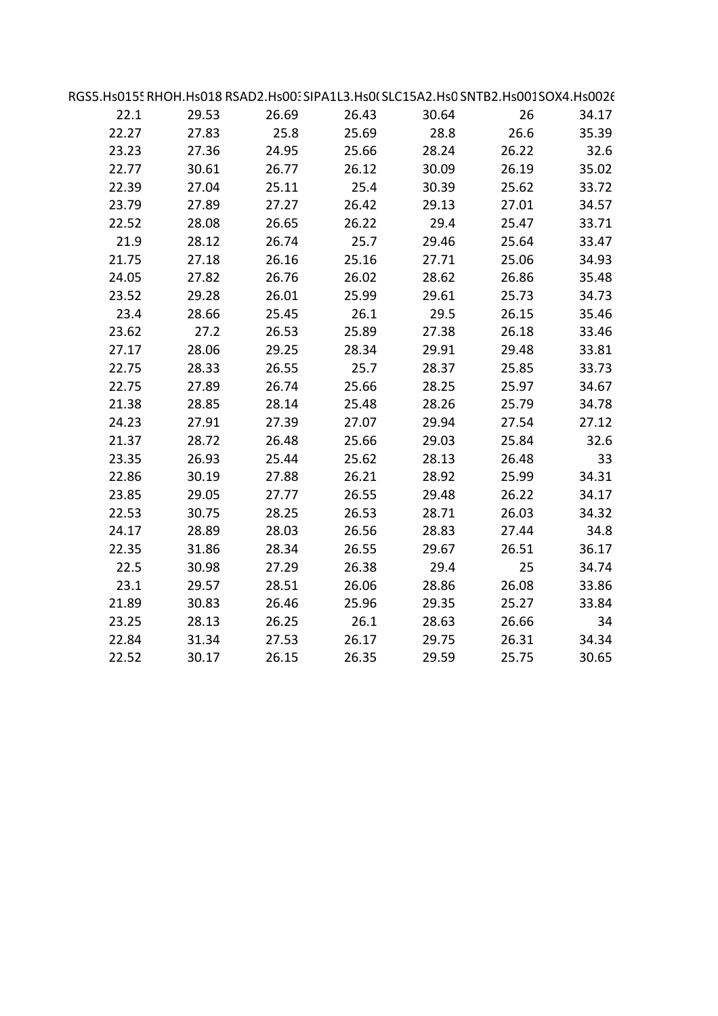|       |       |       | RGS5.Hs0155 RHOH.Hs018 RSAD2.Hs00: SIPA1L3.Hs0( SLC15A2.Hs0 SNTB2.Hs001SOX4.Hs0026 |       |       |       |
|-------|-------|-------|------------------------------------------------------------------------------------|-------|-------|-------|
| 34.17 | 26    | 30.64 | 26.43                                                                              | 26.69 | 29.53 | 22.1  |
| 35.39 | 26.6  | 28.8  | 25.69                                                                              | 25.8  | 27.83 | 22.27 |
|       | 26.22 | 28.24 | 25.66                                                                              | 24.95 | 27.36 | 23.23 |
| 35.02 | 26.19 | 30.09 | 26.12                                                                              | 26.77 | 30.61 | 22.77 |
| 33.72 | 25.62 | 30.39 | 25.4                                                                               | 25.11 | 27.04 | 22.39 |
| 34.57 | 27.01 | 29.13 | 26.42                                                                              | 27.27 | 27.89 | 23.79 |
| 33.71 | 25.47 | 29.4  | 26.22                                                                              | 26.65 | 28.08 | 22.52 |
| 33.47 | 25.64 | 29.46 | 25.7                                                                               | 26.74 | 28.12 | 21.9  |
| 34.93 | 25.06 | 27.71 | 25.16                                                                              | 26.16 | 27.18 | 21.75 |
| 35.48 | 26.86 | 28.62 | 26.02                                                                              | 26.76 | 27.82 | 24.05 |
| 34.73 | 25.73 | 29.61 | 25.99                                                                              | 26.01 | 29.28 | 23.52 |
| 35.46 | 26.15 | 29.5  | 26.1                                                                               | 25.45 | 28.66 | 23.4  |
| 33.46 | 26.18 | 27.38 | 25.89                                                                              | 26.53 | 27.2  | 23.62 |
| 33.81 | 29.48 | 29.91 | 28.34                                                                              | 29.25 | 28.06 | 27.17 |
| 33.73 | 25.85 | 28.37 | 25.7                                                                               | 26.55 | 28.33 | 22.75 |
| 34.67 | 25.97 | 28.25 | 25.66                                                                              | 26.74 | 27.89 | 22.75 |
| 34.78 | 25.79 | 28.26 | 25.48                                                                              | 28.14 | 28.85 | 21.38 |
| 27.12 | 27.54 | 29.94 | 27.07                                                                              | 27.39 | 27.91 | 24.23 |
|       | 25.84 | 29.03 | 25.66                                                                              | 26.48 | 28.72 | 21.37 |
|       | 26.48 | 28.13 | 25.62                                                                              | 25.44 | 26.93 | 23.35 |
| 34.31 | 25.99 | 28.92 | 26.21                                                                              | 27.88 | 30.19 | 22.86 |
| 34.17 | 26.22 | 29.48 | 26.55                                                                              | 27.77 | 29.05 | 23.85 |
| 34.32 | 26.03 | 28.71 | 26.53                                                                              | 28.25 | 30.75 | 22.53 |
|       | 27.44 | 28.83 | 26.56                                                                              | 28.03 | 28.89 | 24.17 |
| 36.17 | 26.51 | 29.67 | 26.55                                                                              | 28.34 | 31.86 | 22.35 |
| 34.74 | 25    | 29.4  | 26.38                                                                              | 27.29 | 30.98 | 22.5  |
| 33.86 | 26.08 | 28.86 | 26.06                                                                              | 28.51 | 29.57 | 23.1  |
| 33.84 | 25.27 | 29.35 | 25.96                                                                              | 26.46 | 30.83 | 21.89 |
|       | 26.66 | 28.63 | 26.1                                                                               | 26.25 | 28.13 | 23.25 |
| 34.34 | 26.31 | 29.75 | 26.17                                                                              | 27.53 | 31.34 | 22.84 |
| 30.65 | 25.75 | 29.59 | 26.35                                                                              | 26.15 | 30.17 | 22.52 |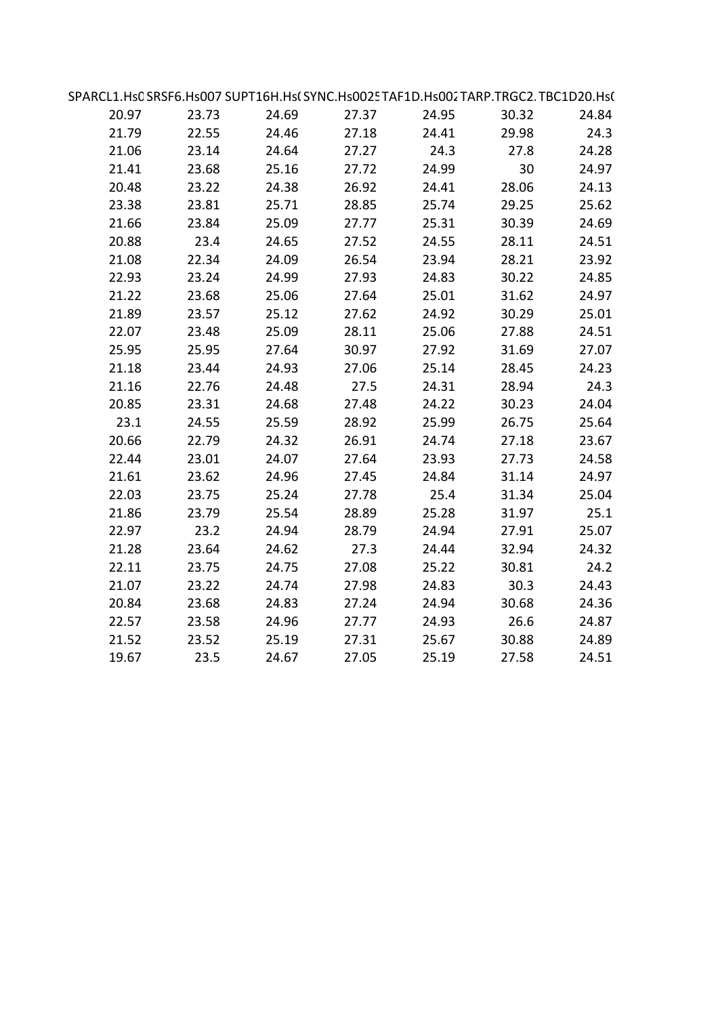| SPARCL1.Hs0SRSF6.Hs007SUPT16H.Hs(SYNC.Hs0025TAF1D.Hs002TARP.TRGC2.TBC1D20.Hs( |       |       |       |       |       |       |  |
|-------------------------------------------------------------------------------|-------|-------|-------|-------|-------|-------|--|
| 20.97                                                                         | 23.73 | 24.69 | 27.37 | 24.95 | 30.32 | 24.84 |  |
| 21.79                                                                         | 22.55 | 24.46 | 27.18 | 24.41 | 29.98 | 24.3  |  |
| 21.06                                                                         | 23.14 | 24.64 | 27.27 | 24.3  | 27.8  | 24.28 |  |
| 21.41                                                                         | 23.68 | 25.16 | 27.72 | 24.99 | 30    | 24.97 |  |
| 20.48                                                                         | 23.22 | 24.38 | 26.92 | 24.41 | 28.06 | 24.13 |  |
| 23.38                                                                         | 23.81 | 25.71 | 28.85 | 25.74 | 29.25 | 25.62 |  |
| 21.66                                                                         | 23.84 | 25.09 | 27.77 | 25.31 | 30.39 | 24.69 |  |
| 20.88                                                                         | 23.4  | 24.65 | 27.52 | 24.55 | 28.11 | 24.51 |  |
| 21.08                                                                         | 22.34 | 24.09 | 26.54 | 23.94 | 28.21 | 23.92 |  |
| 22.93                                                                         | 23.24 | 24.99 | 27.93 | 24.83 | 30.22 | 24.85 |  |
| 21.22                                                                         | 23.68 | 25.06 | 27.64 | 25.01 | 31.62 | 24.97 |  |
| 21.89                                                                         | 23.57 | 25.12 | 27.62 | 24.92 | 30.29 | 25.01 |  |
| 22.07                                                                         | 23.48 | 25.09 | 28.11 | 25.06 | 27.88 | 24.51 |  |
| 25.95                                                                         | 25.95 | 27.64 | 30.97 | 27.92 | 31.69 | 27.07 |  |
| 21.18                                                                         | 23.44 | 24.93 | 27.06 | 25.14 | 28.45 | 24.23 |  |
| 21.16                                                                         | 22.76 | 24.48 | 27.5  | 24.31 | 28.94 | 24.3  |  |
| 20.85                                                                         | 23.31 | 24.68 | 27.48 | 24.22 | 30.23 | 24.04 |  |
| 23.1                                                                          | 24.55 | 25.59 | 28.92 | 25.99 | 26.75 | 25.64 |  |
| 20.66                                                                         | 22.79 | 24.32 | 26.91 | 24.74 | 27.18 | 23.67 |  |
| 22.44                                                                         | 23.01 | 24.07 | 27.64 | 23.93 | 27.73 | 24.58 |  |
| 21.61                                                                         | 23.62 | 24.96 | 27.45 | 24.84 | 31.14 | 24.97 |  |
| 22.03                                                                         | 23.75 | 25.24 | 27.78 | 25.4  | 31.34 | 25.04 |  |
| 21.86                                                                         | 23.79 | 25.54 | 28.89 | 25.28 | 31.97 | 25.1  |  |
| 22.97                                                                         | 23.2  | 24.94 | 28.79 | 24.94 | 27.91 | 25.07 |  |
| 21.28                                                                         | 23.64 | 24.62 | 27.3  | 24.44 | 32.94 | 24.32 |  |
| 22.11                                                                         | 23.75 | 24.75 | 27.08 | 25.22 | 30.81 | 24.2  |  |
| 21.07                                                                         | 23.22 | 24.74 | 27.98 | 24.83 | 30.3  | 24.43 |  |
| 20.84                                                                         | 23.68 | 24.83 | 27.24 | 24.94 | 30.68 | 24.36 |  |
| 22.57                                                                         | 23.58 | 24.96 | 27.77 | 24.93 | 26.6  | 24.87 |  |
| 21.52                                                                         | 23.52 | 25.19 | 27.31 | 25.67 | 30.88 | 24.89 |  |
| 19.67                                                                         | 23.5  | 24.67 | 27.05 | 25.19 | 27.58 | 24.51 |  |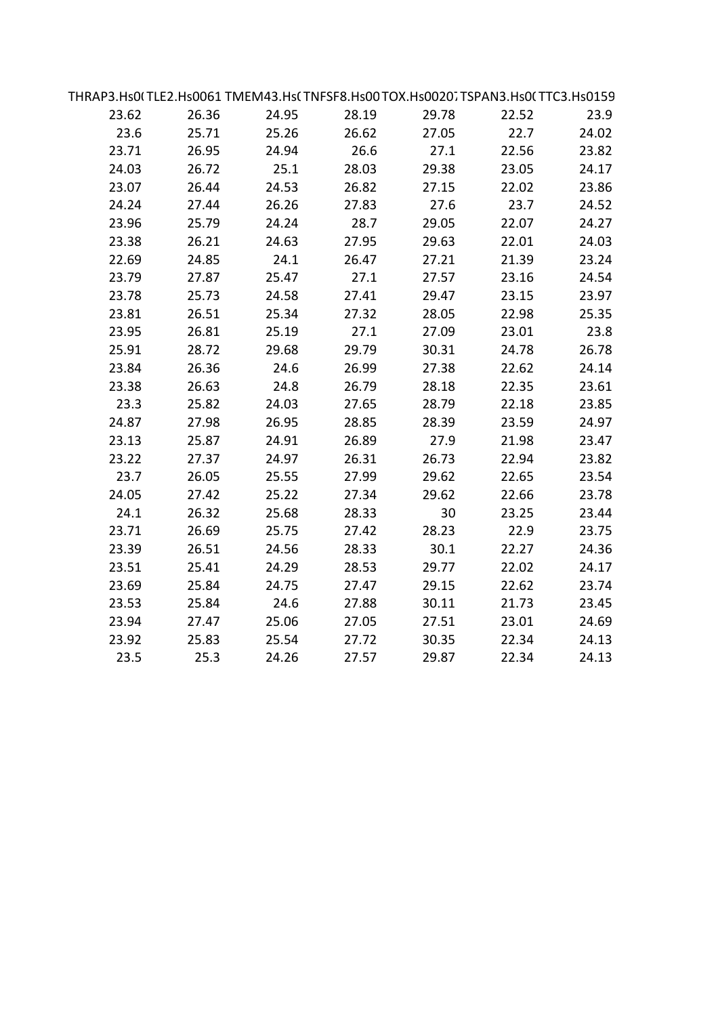|       | THRAP3.Hs0(TLE2.Hs0061 TMEM43.Hs( TNFSF8.Hs00 TOX.Hs0020. TSPAN3.Hs0( TTC3.Hs0159 |       |       |       |       |       |  |
|-------|-----------------------------------------------------------------------------------|-------|-------|-------|-------|-------|--|
| 23.62 | 26.36                                                                             | 24.95 | 28.19 | 29.78 | 22.52 | 23.9  |  |
| 23.6  | 25.71                                                                             | 25.26 | 26.62 | 27.05 | 22.7  | 24.02 |  |
| 23.71 | 26.95                                                                             | 24.94 | 26.6  | 27.1  | 22.56 | 23.82 |  |
| 24.03 | 26.72                                                                             | 25.1  | 28.03 | 29.38 | 23.05 | 24.17 |  |
| 23.07 | 26.44                                                                             | 24.53 | 26.82 | 27.15 | 22.02 | 23.86 |  |
| 24.24 | 27.44                                                                             | 26.26 | 27.83 | 27.6  | 23.7  | 24.52 |  |
| 23.96 | 25.79                                                                             | 24.24 | 28.7  | 29.05 | 22.07 | 24.27 |  |
| 23.38 | 26.21                                                                             | 24.63 | 27.95 | 29.63 | 22.01 | 24.03 |  |
| 22.69 | 24.85                                                                             | 24.1  | 26.47 | 27.21 | 21.39 | 23.24 |  |
| 23.79 | 27.87                                                                             | 25.47 | 27.1  | 27.57 | 23.16 | 24.54 |  |
| 23.78 | 25.73                                                                             | 24.58 | 27.41 | 29.47 | 23.15 | 23.97 |  |
| 23.81 | 26.51                                                                             | 25.34 | 27.32 | 28.05 | 22.98 | 25.35 |  |
| 23.95 | 26.81                                                                             | 25.19 | 27.1  | 27.09 | 23.01 | 23.8  |  |
| 25.91 | 28.72                                                                             | 29.68 | 29.79 | 30.31 | 24.78 | 26.78 |  |
| 23.84 | 26.36                                                                             | 24.6  | 26.99 | 27.38 | 22.62 | 24.14 |  |
| 23.38 | 26.63                                                                             | 24.8  | 26.79 | 28.18 | 22.35 | 23.61 |  |
| 23.3  | 25.82                                                                             | 24.03 | 27.65 | 28.79 | 22.18 | 23.85 |  |
| 24.87 | 27.98                                                                             | 26.95 | 28.85 | 28.39 | 23.59 | 24.97 |  |
| 23.13 | 25.87                                                                             | 24.91 | 26.89 | 27.9  | 21.98 | 23.47 |  |
| 23.22 | 27.37                                                                             | 24.97 | 26.31 | 26.73 | 22.94 | 23.82 |  |
| 23.7  | 26.05                                                                             | 25.55 | 27.99 | 29.62 | 22.65 | 23.54 |  |
| 24.05 | 27.42                                                                             | 25.22 | 27.34 | 29.62 | 22.66 | 23.78 |  |
| 24.1  | 26.32                                                                             | 25.68 | 28.33 | 30    | 23.25 | 23.44 |  |
| 23.71 | 26.69                                                                             | 25.75 | 27.42 | 28.23 | 22.9  | 23.75 |  |
| 23.39 | 26.51                                                                             | 24.56 | 28.33 | 30.1  | 22.27 | 24.36 |  |
| 23.51 | 25.41                                                                             | 24.29 | 28.53 | 29.77 | 22.02 | 24.17 |  |
| 23.69 | 25.84                                                                             | 24.75 | 27.47 | 29.15 | 22.62 | 23.74 |  |
| 23.53 | 25.84                                                                             | 24.6  | 27.88 | 30.11 | 21.73 | 23.45 |  |
| 23.94 | 27.47                                                                             | 25.06 | 27.05 | 27.51 | 23.01 | 24.69 |  |
| 23.92 | 25.83                                                                             | 25.54 | 27.72 | 30.35 | 22.34 | 24.13 |  |
| 23.5  | 25.3                                                                              | 24.26 | 27.57 | 29.87 | 22.34 | 24.13 |  |